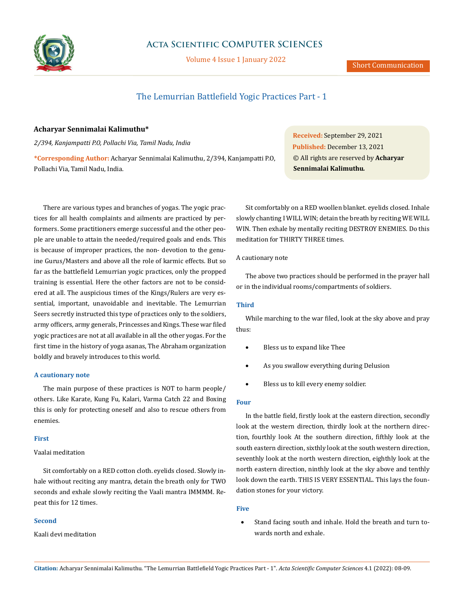

# **Acta Scientific COMPUTER SCIENCES**

Volume 4 Issue 1 January 2022

# The Lemurrian Battlefield Yogic Practices Part - 1

# **Acharyar Sennimalai Kalimuthu\***

*2/394, Kanjampatti P.O, Pollachi Via, Tamil Nadu, India*

**\*Corresponding Author:** Acharyar Sennimalai Kalimuthu, 2/394, Kanjampatti P.O, Pollachi Via, Tamil Nadu, India.

There are various types and branches of yogas. The yogic practices for all health complaints and ailments are practiced by performers. Some practitioners emerge successful and the other people are unable to attain the needed/required goals and ends. This is because of improper practices, the non- devotion to the genuine Gurus/Masters and above all the role of karmic effects. But so far as the battlefield Lemurrian yogic practices, only the propped training is essential. Here the other factors are not to be considered at all. The auspicious times of the Kings/Rulers are very essential, important, unavoidable and inevitable. The Lemurrian Seers secretly instructed this type of practices only to the soldiers, army officers, army generals, Princesses and Kings. These war filed yogic practices are not at all available in all the other yogas. For the first time in the history of yoga asanas, The Abraham organization boldly and bravely introduces to this world.

## **A cautionary note**

The main purpose of these practices is NOT to harm people/ others. Like Karate, Kung Fu, Kalari, Varma Catch 22 and Boxing this is only for protecting oneself and also to rescue others from enemies.

# **First**

# Vaalai meditation

Sit comfortably on a RED cotton cloth. eyelids closed. Slowly inhale without reciting any mantra, detain the breath only for TWO seconds and exhale slowly reciting the Vaali mantra IMMMM. Repeat this for 12 times.

## **Second**

Kaali devi meditation

**Received:** September 29, 2021 **Published:** December 13, 2021 © All rights are reserved by **Acharyar Sennimalai Kalimuthu***.*

Sit comfortably on a RED woollen blanket. eyelids closed. Inhale slowly chanting I WILL WIN; detain the breath by reciting WE WILL WIN. Then exhale by mentally reciting DESTROY ENEMIES. Do this meditation for THIRTY THREE times.

# A cautionary note

The above two practices should be performed in the prayer hall or in the individual rooms/compartments of soldiers.

# **Third**

While marching to the war filed, look at the sky above and pray thus:

- Bless us to expand like Thee
- As you swallow everything during Delusion
- Bless us to kill every enemy soldier.

# **Four**

In the battle field, firstly look at the eastern direction, secondly look at the western direction, thirdly look at the northern direction, fourthly look At the southern direction, fifthly look at the south eastern direction, sixthly look at the south western direction, seventhly look at the north western direction, eighthly look at the north eastern direction, ninthly look at the sky above and tenthly look down the earth. THIS IS VERY ESSENTIAL. This lays the foundation stones for your victory.

## **Five**

• Stand facing south and inhale. Hold the breath and turn towards north and exhale.

**Citation:** Acharyar Sennimalai Kalimuthu*.* "The Lemurrian Battlefield Yogic Practices Part - 1". *Acta Scientific Computer Sciences* 4.1 (2022): 08-09.